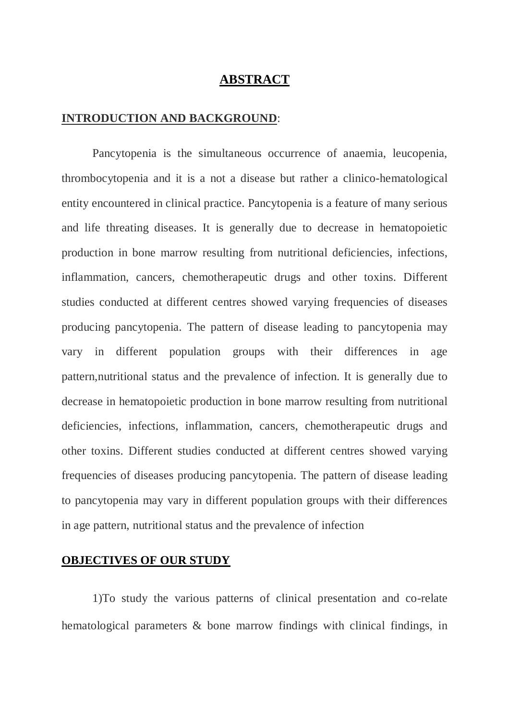# **ABSTRACT**

## **INTRODUCTION AND BACKGROUND**:

Pancytopenia is the simultaneous occurrence of anaemia, leucopenia, thrombocytopenia and it is a not a disease but rather a clinico-hematological entity encountered in clinical practice. Pancytopenia is a feature of many serious and life threating diseases. It is generally due to decrease in hematopoietic production in bone marrow resulting from nutritional deficiencies, infections, inflammation, cancers, chemotherapeutic drugs and other toxins. Different studies conducted at different centres showed varying frequencies of diseases producing pancytopenia. The pattern of disease leading to pancytopenia may vary in different population groups with their differences in age pattern,nutritional status and the prevalence of infection. It is generally due to decrease in hematopoietic production in bone marrow resulting from nutritional deficiencies, infections, inflammation, cancers, chemotherapeutic drugs and other toxins. Different studies conducted at different centres showed varying frequencies of diseases producing pancytopenia. The pattern of disease leading to pancytopenia may vary in different population groups with their differences in age pattern, nutritional status and the prevalence of infection

## **OBJECTIVES OF OUR STUDY**

1)To study the various patterns of clinical presentation and co-relate hematological parameters & bone marrow findings with clinical findings, in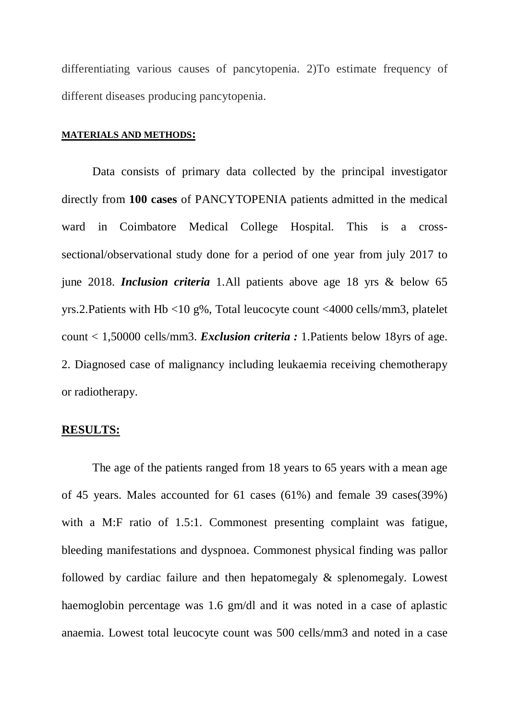differentiating various causes of pancytopenia. 2)To estimate frequency of different diseases producing pancytopenia.

#### **MATERIALS AND METHODS:**

Data consists of primary data collected by the principal investigator directly from **100 cases** of PANCYTOPENIA patients admitted in the medical ward in Coimbatore Medical College Hospital. This is a crosssectional/observational study done for a period of one year from july 2017 to june 2018. *Inclusion criteria* 1.All patients above age 18 yrs & below 65 yrs.2.Patients with Hb <10 g%, Total leucocyte count <4000 cells/mm3, platelet count < 1,50000 cells/mm3. *Exclusion criteria :* 1.Patients below 18yrs of age. 2. Diagnosed case of malignancy including leukaemia receiving chemotherapy or radiotherapy.

#### **RESULTS:**

The age of the patients ranged from 18 years to 65 years with a mean age of 45 years. Males accounted for 61 cases (61%) and female 39 cases(39%) with a M:F ratio of 1.5:1. Commonest presenting complaint was fatigue, bleeding manifestations and dyspnoea. Commonest physical finding was pallor followed by cardiac failure and then hepatomegaly & splenomegaly. Lowest haemoglobin percentage was 1.6 gm/dl and it was noted in a case of aplastic anaemia. Lowest total leucocyte count was 500 cells/mm3 and noted in a case